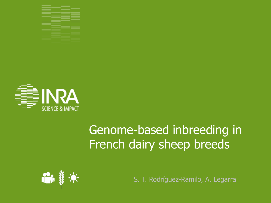



# Genome-based inbreeding in French dairy sheep breeds



S. T. Rodríguez-Ramilo, A. Legarra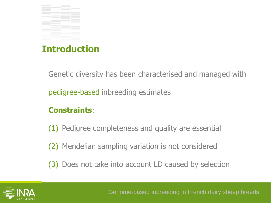

# **Introduction**

Genetic diversity has been characterised and managed with

pedigree-based inbreeding estimates

#### **Constraints**:

(1) Pedigree completeness and quality are essential

(2) Mendelian sampling variation is not considered

(3) Does not take into account LD caused by selection

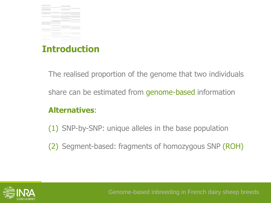

# **Introduction**

The realised proportion of the genome that two individuals

share can be estimated from genome-based information

#### **Alternatives**:

(1) SNP-by-SNP: unique alleles in the base population

(2) Segment-based: fragments of homozygous SNP (ROH)

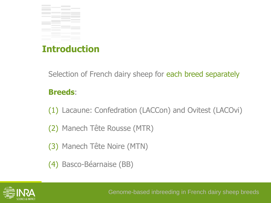

# **Introduction**

Selection of French dairy sheep for each breed separately

#### **Breeds**:

(1) Lacaune: Confedration (LACCon) and Ovitest (LACOvi)

(2) Manech Tête Rousse (MTR)

(3) Manech Tête Noire (MTN)

(4) Basco-Béarnaise (BB)

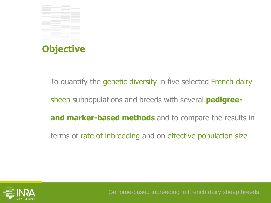

To quantify the genetic diversity in five selected French dairy sheep subpopulations and breeds with several **pedigreeand marker-based methods** and to compare the results in terms of rate of inbreeding and on effective population size

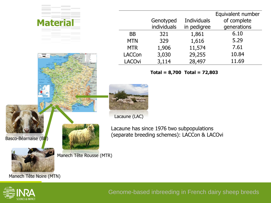| <b>Material</b> |               | Genotyped   | <b>Individuals</b> | Equivalent number<br>of complete |
|-----------------|---------------|-------------|--------------------|----------------------------------|
|                 |               | individuals | in pedigree        | generations                      |
|                 | <b>BB</b>     | 321         | 1,861              | 6.10                             |
|                 | <b>MTN</b>    | 329         | 1,616              | 5.29                             |
|                 | <b>MTR</b>    | 1,906       | 11,574             | 7.61                             |
|                 | <b>LACCon</b> | 3,030       | 29,255             | 10.84                            |
|                 | <b>LACOvi</b> | 3,114       | 28,497             | 11.69                            |

Lacaune has since 1976 two subpopulations

(separate breeding schemes): LACCon & LACOvi

**Total = 8,700 Total = 72,803**



Lacaune (LAC)





Manech Tête Rousse (MTR)

Manech Tête Noire (MTN)



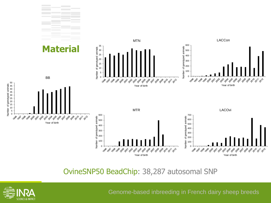

OvineSNP50 BeadChip: 38,287 autosomal SNP

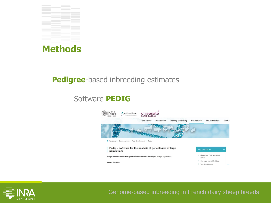



#### **Pedigree**-based inbreeding estimates

## Software **PEDIG**



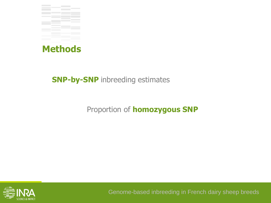



### **SNP-by-SNP** inbreeding estimates

## Proportion of **homozygous SNP**

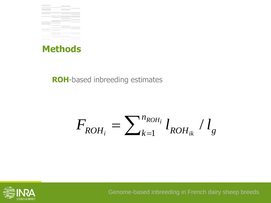



### **ROH**-based inbreeding estimates

$$
F_{ROH_i} = \sum_{k=1}^{n_{ROH_i}} l_{ROH_{ik}} / l_g
$$

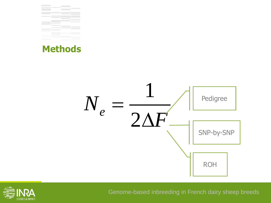





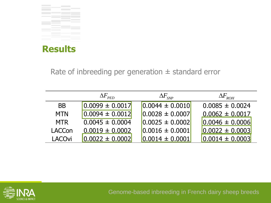

**Results**

#### Rate of inbreeding per generation  $\pm$  standard error

|                                                      | $\Delta F_{\scriptscriptstyle{PED}}$ | $\Delta F_{\textit{\tiny SNP}}$ | $\Delta F^{}_{ROH}$ |  |  |
|------------------------------------------------------|--------------------------------------|---------------------------------|---------------------|--|--|
| <b>BB</b>                                            | $0.0099 \pm 0.0017$                  | $0.0044 \pm 0.0010$             | $0.0085 \pm 0.0024$ |  |  |
| <b>MTN</b>                                           | $0.0094 \pm 0.0012$                  | $0.0028 \pm 0.0007$             | $0.0062 \pm 0.0017$ |  |  |
| <b>MTR</b>                                           | $0.0045 \pm 0.0004$                  | $0.0025 \pm 0.0002$             | $0.0046 \pm 0.0006$ |  |  |
| LACCon                                               | $0.0019 \pm 0.0002$                  | $0.0016 \pm 0.0001$             | $0.0022 \pm 0.0003$ |  |  |
| <b>LACOvi</b>                                        | $0.0022 \pm 0.0002$                  | $0.0014 \pm 0.0001$             | $0.0014 \pm 0.0003$ |  |  |
|                                                      |                                      |                                 |                     |  |  |
|                                                      |                                      |                                 |                     |  |  |
|                                                      |                                      |                                 |                     |  |  |
|                                                      |                                      |                                 |                     |  |  |
|                                                      |                                      |                                 |                     |  |  |
| Genome-based inbreeding in French dairy sheep breeds |                                      |                                 |                     |  |  |

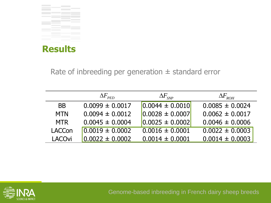

**Results**

Rate of inbreeding per generation  $\pm$  standard error

|                                                      | $\Delta F_{\rm{PED}}$ | $\Delta F_{\textit{\tiny SNP}}$ | $\Delta F$ <sub>ROH</sub> |  |  |
|------------------------------------------------------|-----------------------|---------------------------------|---------------------------|--|--|
| <b>BB</b>                                            | $0.0099 \pm 0.0017$   | $0.0044 \pm 0.0010$             | $0.0085 \pm 0.0024$       |  |  |
| <b>MTN</b>                                           | $0.0094 \pm 0.0012$   | $0.0028 \pm 0.0007$             | $0.0062 \pm 0.0017$       |  |  |
| <b>MTR</b>                                           | $0.0045 \pm 0.0004$   | $0.0025 \pm 0.0002$             | $0.0046 \pm 0.0006$       |  |  |
| <b>LACCon</b>                                        | $0.0019 \pm 0.0002$   | $0.0016 \pm 0.0001$             | $0.0022 \pm 0.0003$       |  |  |
| <b>LACOvi</b>                                        | $0.0022 \pm 0.0002$   | $0.0014 \pm 0.0001$             | $0.0014 \pm 0.0003$       |  |  |
|                                                      |                       |                                 |                           |  |  |
|                                                      |                       |                                 |                           |  |  |
|                                                      |                       |                                 |                           |  |  |
|                                                      |                       |                                 |                           |  |  |
|                                                      |                       |                                 |                           |  |  |
| Genome-based inbreeding in French dairy sheep breeds |                       |                                 |                           |  |  |

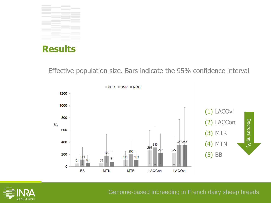



Effective population size. Bars indicate the 95% confidence interval

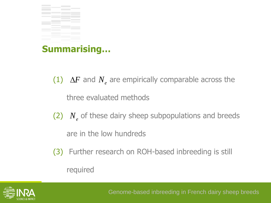

## **Summarising…**

- (1)  $\Delta F$  and  $N_e$  are empirically comparable across the three evaluated methods
- $(2)$   $N_e$  of these dairy sheep subpopulations and breeds are in the low hundreds  $\Delta F$  and  $N_e$  are empirically comparable across the<br>hree evaluated methods<br> $N_e$  of these dairy sheep subpopulations and breeds<br>re in the low hundreds<br>Further research on ROH-based inbreeding is still<br>equired<br>Genome-based
- (3) Further research on ROH-based inbreeding is still

required